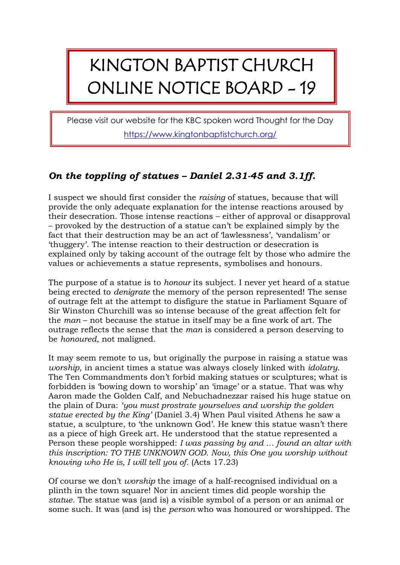## KINGTON BAPTIST CHURCH ONLINE NOTICE BOARD - 19

Please visit our website for the KBC spoken word Thought for the Day <https://www.kingtonbaptistchurch.org/>

## *On the toppling of statues – Daniel 2.31-45 and 3.1ff.*

I suspect we should first consider the *raising* of statues, because that will provide the only adequate explanation for the intense reactions aroused by their desecration. Those intense reactions – either of approval or disapproval – provoked by the destruction of a statue can't be explained simply by the fact that their destruction may be an act of 'lawlessness', 'vandalism' or 'thuggery'. The intense reaction to their destruction or desecration is explained only by taking account of the outrage felt by those who admire the values or achievements a statue represents, symbolises and honours.

The purpose of a statue is to *honour* its subject. I never yet heard of a statue being erected to *denigrate* the memory of the person represented! The sense of outrage felt at the attempt to disfigure the statue in Parliament Square of Sir Winston Churchill was so intense because of the great affection felt for the *man* – not because the statue in itself may be a fine work of art. The outrage reflects the sense that the *man* is considered a person deserving to be *honoured*, not maligned.

It may seem remote to us, but originally the purpose in raising a statue was *worship*, in ancient times a statue was always closely linked with *idolatry*. The Ten Commandments don't forbid making statues or sculptures; what is forbidden is 'bowing down to worship' an 'image' or a statue. That was why Aaron made the Golden Calf, and Nebuchadnezzar raised his huge statue on the plain of Dura: *'you must prostrate yourselves and worship the golden statue erected by the King'* (Daniel 3.4) When Paul visited Athens he saw a statue, a sculpture, to 'the unknown God'. He knew this statue wasn't there as a piece of high Greek art. He understood that the statue represented a Person these people worshipped: *I was passing by and … found an altar with this inscription: TO THE UNKNOWN GOD. Now, this One you worship without knowing who He is, I will tell you of.* (Acts 17.23)

Of course we don't *worship* the image of a half-recognised individual on a plinth in the town square! Nor in ancient times did people worship the *statue*. The statue was (and is) a visible symbol of a person or an animal or some such. It was (and is) the *person* who was honoured or worshipped. The